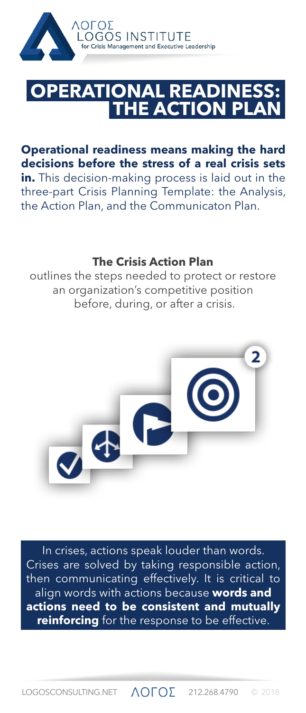

## **THE ACTION AL REA**

**Operational readiness means making the hard decisions before the stress of a real crisis sets in.** This decision-making process is laid out in the three-part Crisis Planning Template: the Analysis, the Action Plan, and the Communicaton Plan.

## **The Crisis Action Plan**

outlines the steps needed to protect or restore an organization's competitive position before, during, or after a crisis.



In crises, actions speak louder than words. Crises are solved by taking responsible action, then communicating effectively. It is critical to align words with actions because **words and actions need to be consistent and mutually reinforcing** for the response to be effective.